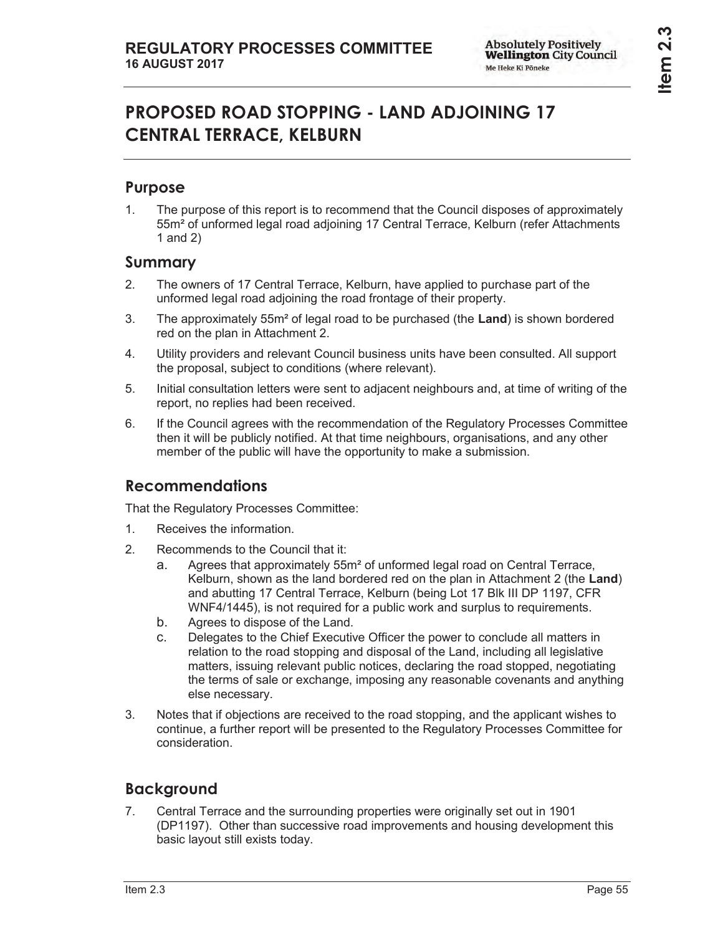# **PROPOSED ROAD STOPPING - LAND ADJOINING 17 CENTRAL TERRACE, KELBURN**

## **Purpose**

1. The purpose of this report is to recommend that the Council disposes of approximately 55m² of unformed legal road adjoining 17 Central Terrace, Kelburn (refer Attachments 1 and 2)

### **Summary**

- 2. The owners of 17 Central Terrace, Kelburn, have applied to purchase part of the unformed legal road adjoining the road frontage of their property.
- 3. The approximately 55m² of legal road to be purchased (the **Land**) is shown bordered red on the plan in Attachment 2.
- 4. Utility providers and relevant Council business units have been consulted. All support the proposal, subject to conditions (where relevant).
- 5. Initial consultation letters were sent to adjacent neighbours and, at time of writing of the report, no replies had been received.
- 6. If the Council agrees with the recommendation of the Regulatory Processes Committee then it will be publicly notified. At that time neighbours, organisations, and any other member of the public will have the opportunity to make a submission.

# **Recommendations**

That the Regulatory Processes Committee:

- 1. Receives the information.
- 2. Recommends to the Council that it:
	- a. Agrees that approximately 55m² of unformed legal road on Central Terrace, Kelburn, shown as the land bordered red on the plan in Attachment 2 (the **Land**) and abutting 17 Central Terrace, Kelburn (being Lot 17 Blk III DP 1197, CFR WNF4/1445), is not required for a public work and surplus to requirements.
	- b. Agrees to dispose of the Land.
	- c. Delegates to the Chief Executive Officer the power to conclude all matters in relation to the road stopping and disposal of the Land, including all legislative matters, issuing relevant public notices, declaring the road stopped, negotiating the terms of sale or exchange, imposing any reasonable covenants and anything else necessary.
- 3. Notes that if objections are received to the road stopping, and the applicant wishes to continue, a further report will be presented to the Regulatory Processes Committee for consideration.

# **Background**

7. Central Terrace and the surrounding properties were originally set out in 1901 (DP1197). Other than successive road improvements and housing development this basic layout still exists today.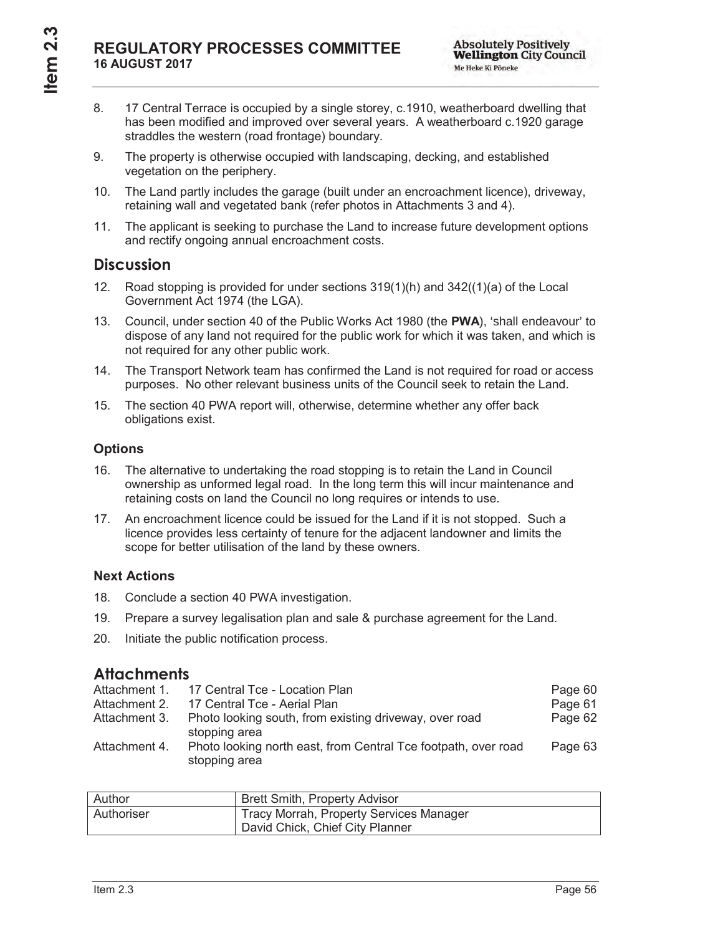- 8. 17 Central Terrace is occupied by a single storey, c.1910, weatherboard dwelling that has been modified and improved over several years. A weatherboard c.1920 garage straddles the western (road frontage) boundary.
- 9. The property is otherwise occupied with landscaping, decking, and established vegetation on the periphery.
- 10. The Land partly includes the garage (built under an encroachment licence), driveway, retaining wall and vegetated bank (refer photos in Attachments 3 and 4).
- 11. The applicant is seeking to purchase the Land to increase future development options and rectify ongoing annual encroachment costs.

# **Discussion**

- 12. Road stopping is provided for under sections 319(1)(h) and 342((1)(a) of the Local Government Act 1974 (the LGA).
- 13. Council, under section 40 of the Public Works Act 1980 (the **PWA**), 'shall endeavour' to dispose of any land not required for the public work for which it was taken, and which is not required for any other public work.
- 14. The Transport Network team has confirmed the Land is not required for road or access purposes. No other relevant business units of the Council seek to retain the Land.
- 15. The section 40 PWA report will, otherwise, determine whether any offer back obligations exist.

### **Options**

- 16. The alternative to undertaking the road stopping is to retain the Land in Council ownership as unformed legal road. In the long term this will incur maintenance and retaining costs on land the Council no long requires or intends to use.
- 17. An encroachment licence could be issued for the Land if it is not stopped. Such a licence provides less certainty of tenure for the adjacent landowner and limits the scope for better utilisation of the land by these owners.

### **Next Actions**

- 18. Conclude a section 40 PWA investigation.
- 19. Prepare a survey legalisation plan and sale & purchase agreement for the Land.
- 20. Initiate the public notification process.

# **Attachments**

| Attachment 1. | 17 Central Tce - Location Plan                                                  | Page 60 |
|---------------|---------------------------------------------------------------------------------|---------|
| Attachment 2. | 17 Central Tce - Aerial Plan                                                    | Page 61 |
| Attachment 3. | Photo looking south, from existing driveway, over road<br>stopping area         | Page 62 |
| Attachment 4. | Photo looking north east, from Central Tce footpath, over road<br>stopping area | Page 63 |

| Author     | <b>Brett Smith, Property Advisor</b>                                       |
|------------|----------------------------------------------------------------------------|
| Authoriser | Tracy Morrah, Property Services Manager<br>David Chick, Chief City Planner |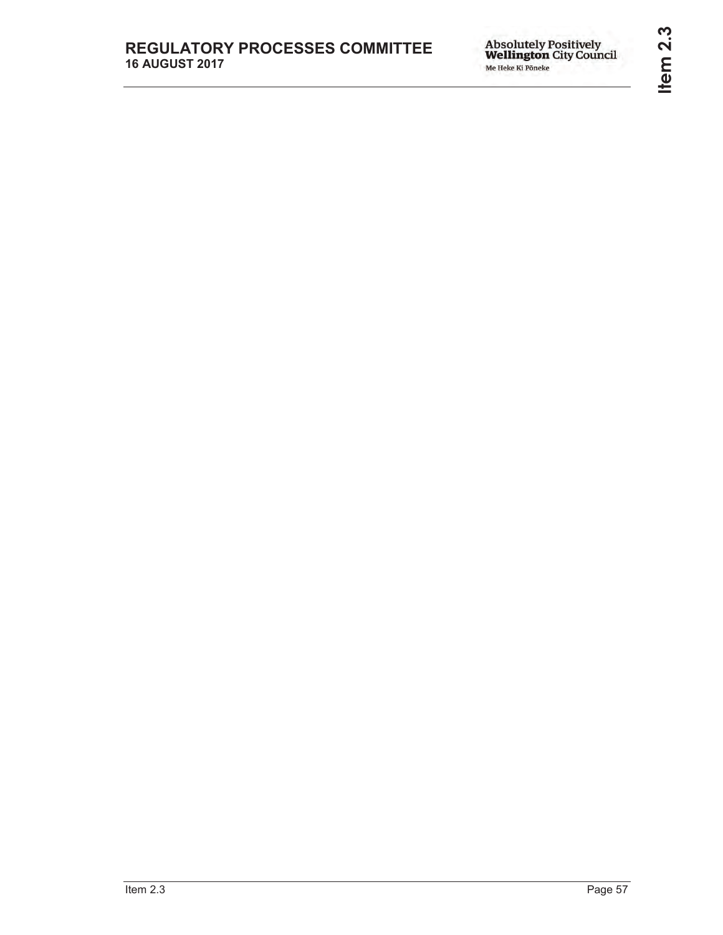Absolutely Positively<br>**Wellington** City Council Me Heke Ki Põneke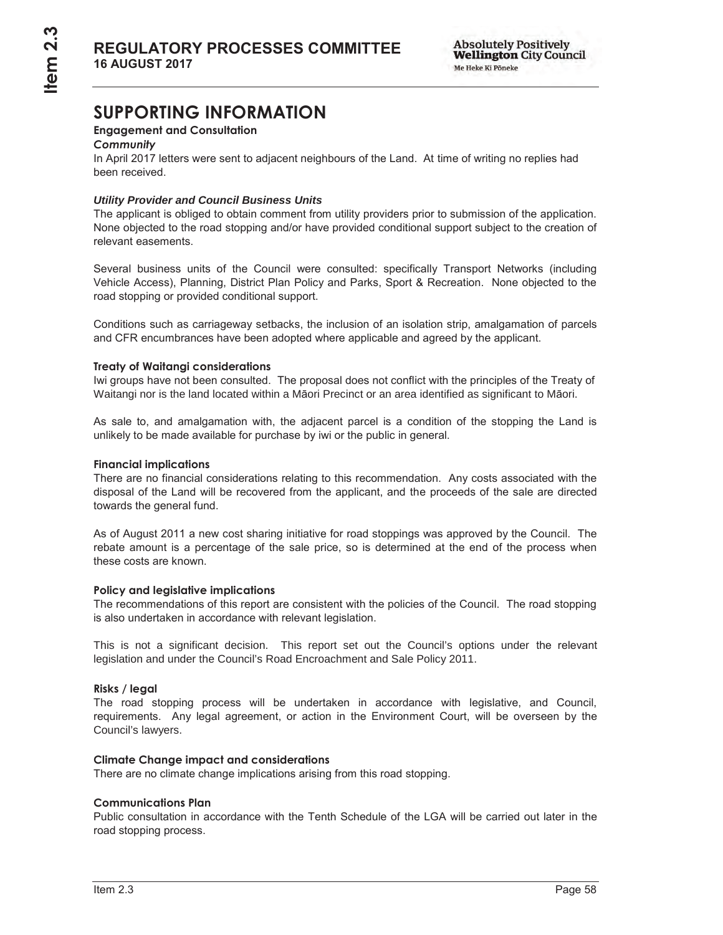# **SUPPORTING INFORMATION**

### **Engagement and Consultation**

#### *Community*

In April 2017 letters were sent to adjacent neighbours of the Land. At time of writing no replies had been received.

#### *Utility Provider and Council Business Units*

The applicant is obliged to obtain comment from utility providers prior to submission of the application. None objected to the road stopping and/or have provided conditional support subject to the creation of relevant easements.

Several business units of the Council were consulted: specifically Transport Networks (including Vehicle Access), Planning, District Plan Policy and Parks, Sport & Recreation. None objected to the road stopping or provided conditional support.

Conditions such as carriageway setbacks, the inclusion of an isolation strip, amalgamation of parcels and CFR encumbrances have been adopted where applicable and agreed by the applicant.

#### **Treaty of Waitangi considerations**

Iwi groups have not been consulted. The proposal does not conflict with the principles of the Treaty of Waitangi nor is the land located within a Māori Precinct or an area identified as significant to Māori.

As sale to, and amalgamation with, the adjacent parcel is a condition of the stopping the Land is unlikely to be made available for purchase by iwi or the public in general.

#### **Financial implications**

There are no financial considerations relating to this recommendation. Any costs associated with the disposal of the Land will be recovered from the applicant, and the proceeds of the sale are directed towards the general fund.

As of August 2011 a new cost sharing initiative for road stoppings was approved by the Council. The rebate amount is a percentage of the sale price, so is determined at the end of the process when these costs are known.

#### **Policy and legislative implications**

The recommendations of this report are consistent with the policies of the Council. The road stopping is also undertaken in accordance with relevant legislation.

This is not a significant decision. This report set out the Council's options under the relevant legislation and under the Council's Road Encroachment and Sale Policy 2011.

#### **Risks / legal**

The road stopping process will be undertaken in accordance with legislative, and Council, requirements. Any legal agreement, or action in the Environment Court, will be overseen by the Council's lawyers.

#### **Climate Change impact and considerations**

There are no climate change implications arising from this road stopping.

#### **Communications Plan**

Public consultation in accordance with the Tenth Schedule of the LGA will be carried out later in the road stopping process.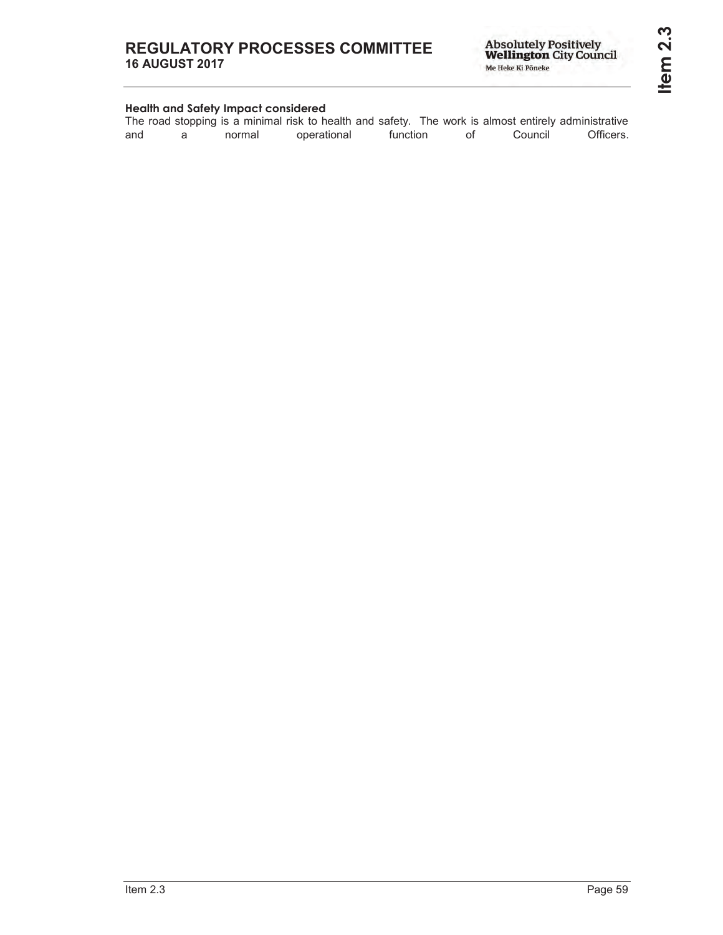#### **Health and Safety Impact considered**

The road stopping is a minimal risk to health and safety. The work is almost entirely administrative and a normal operational function of Council Officers.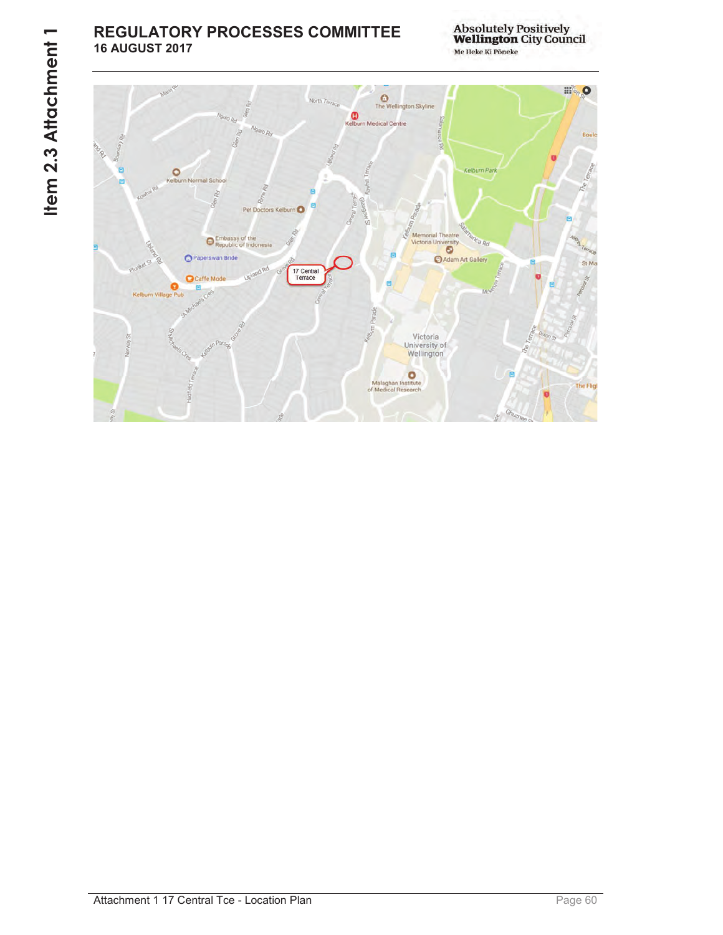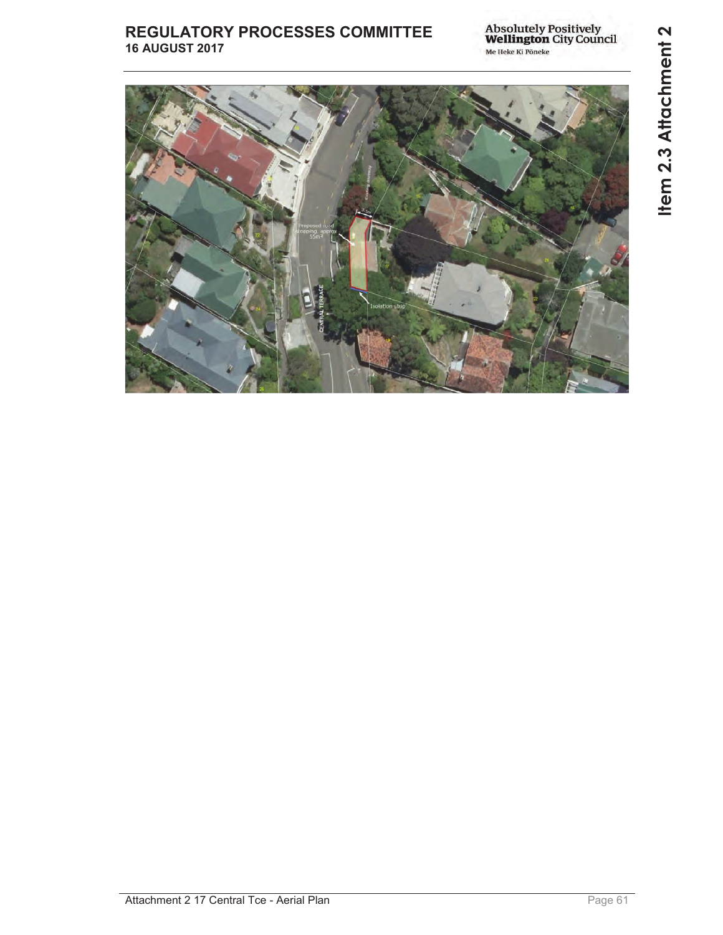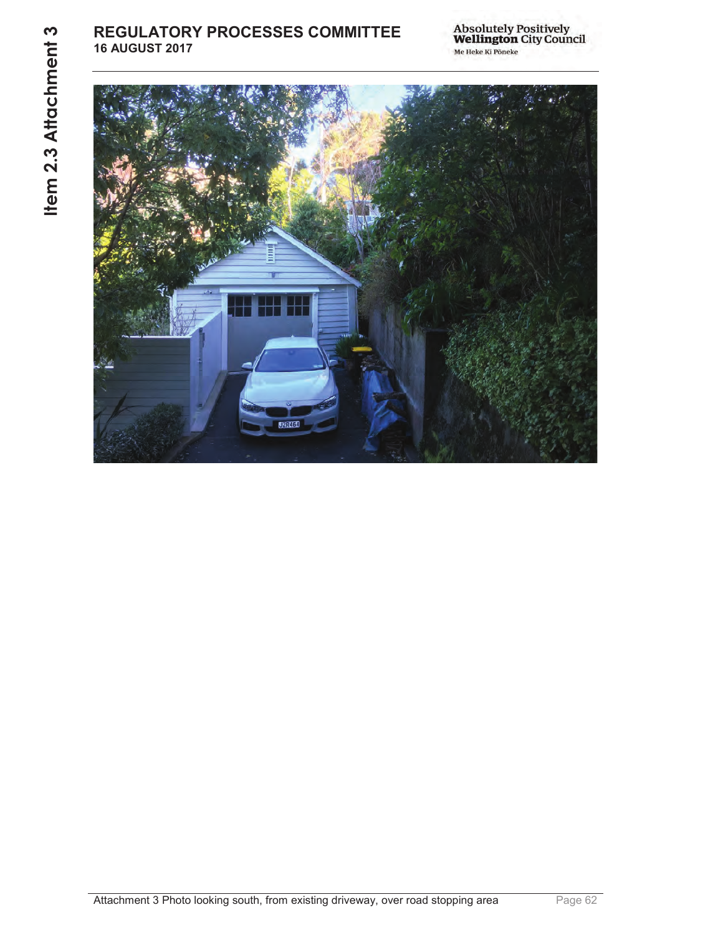Absolutely Positively<br>Wellington City Council Me Heke Ki Põneke